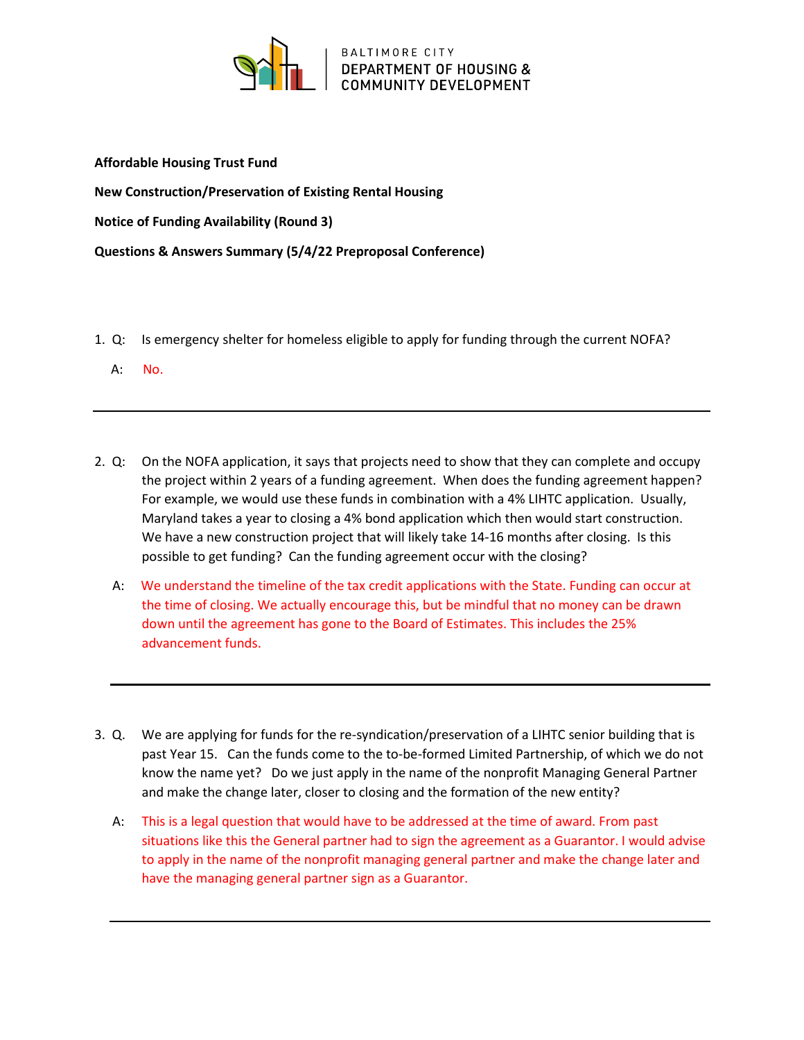

Affordable Housing Trust Fund

New Construction/Preservation of Existing Rental Housing

Notice of Funding Availability (Round 3)

Questions & Answers Summary (5/4/22 Preproposal Conference)

- 1. Q: Is emergency shelter for homeless eligible to apply for funding through the current NOFA?
	- A: No.
- 2. Q: On the NOFA application, it says that projects need to show that they can complete and occupy the project within 2 years of a funding agreement. When does the funding agreement happen? For example, we would use these funds in combination with a 4% LIHTC application. Usually, Maryland takes a year to closing a 4% bond application which then would start construction. We have a new construction project that will likely take 14-16 months after closing. Is this possible to get funding? Can the funding agreement occur with the closing?
	- A: We understand the timeline of the tax credit applications with the State. Funding can occur at the time of closing. We actually encourage this, but be mindful that no money can be drawn down until the agreement has gone to the Board of Estimates. This includes the 25% advancement funds.
- 3. Q. We are applying for funds for the re-syndication/preservation of a LIHTC senior building that is past Year 15. Can the funds come to the to-be-formed Limited Partnership, of which we do not know the name yet? Do we just apply in the name of the nonprofit Managing General Partner and make the change later, closer to closing and the formation of the new entity?
	- A: This is a legal question that would have to be addressed at the time of award. From past situations like this the General partner had to sign the agreement as a Guarantor. I would advise to apply in the name of the nonprofit managing general partner and make the change later and have the managing general partner sign as a Guarantor.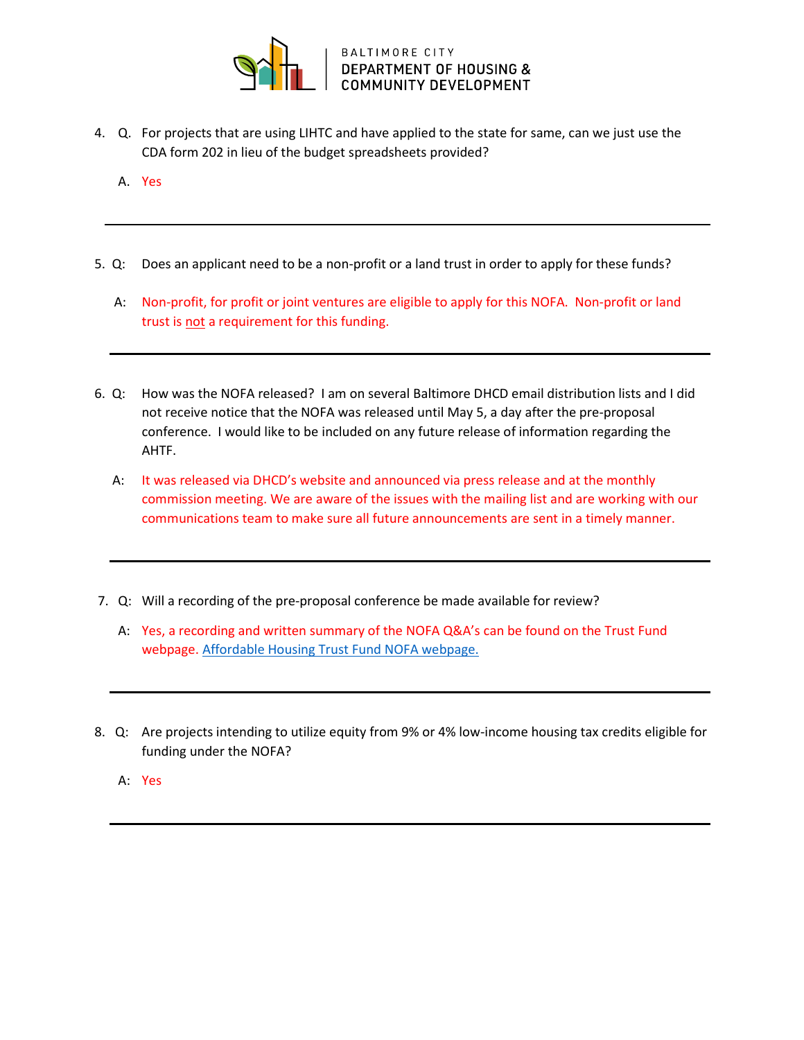

- 4. Q. For projects that are using LIHTC and have applied to the state for same, can we just use the CDA form 202 in lieu of the budget spreadsheets provided?
	- A. Yes
- 5. Q: Does an applicant need to be a non-profit or a land trust in order to apply for these funds?
	- A: Non-profit, for profit or joint ventures are eligible to apply for this NOFA. Non-profit or land trust is not a requirement for this funding.
- 6. Q: How was the NOFA released? I am on several Baltimore DHCD email distribution lists and I did not receive notice that the NOFA was released until May 5, a day after the pre-proposal conference. I would like to be included on any future release of information regarding the AHTF.
	- A: It was released via DHCD's website and announced via press release and at the monthly commission meeting. We are aware of the issues with the mailing list and are working with our communications team to make sure all future announcements are sent in a timely manner.
- 7. Q: Will a recording of the pre-proposal conference be made available for review?
	- A: Yes, a recording and written summary of the NOFA Q&A's can be found on the Trust Fund webpage. Affordable Housing Trust Fund NOFA webpage.
- 8. Q: Are projects intending to utilize equity from 9% or 4% low-income housing tax credits eligible for funding under the NOFA?
	- A: Yes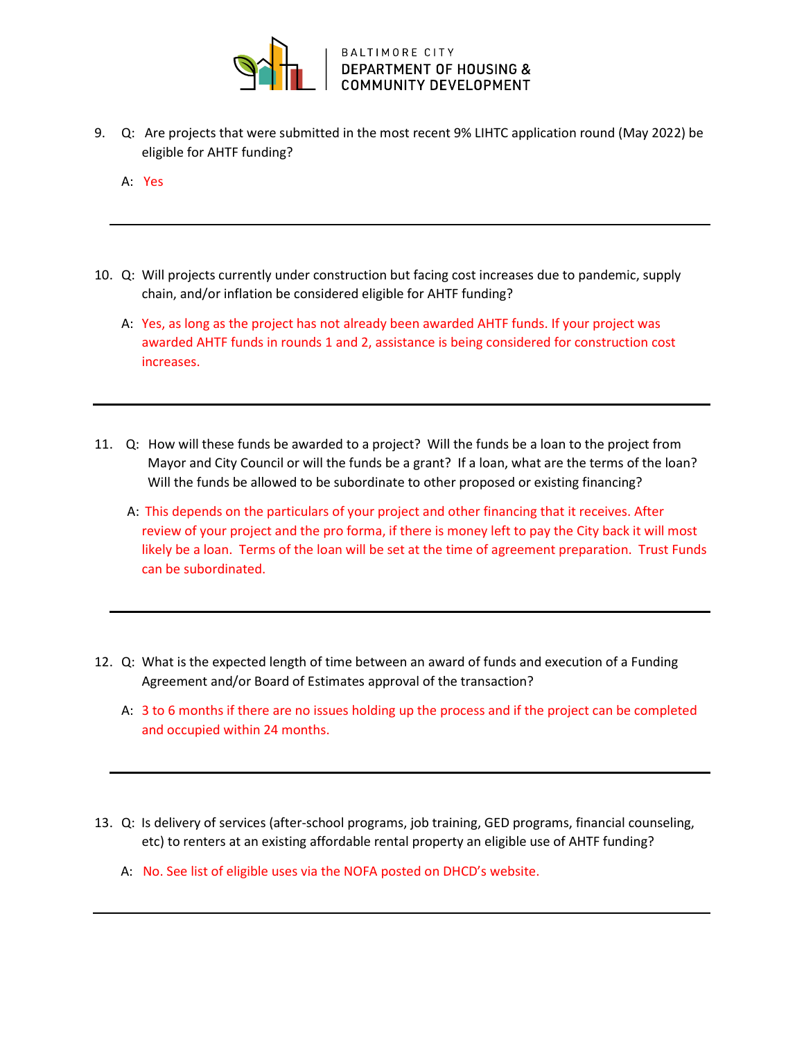

- 9. Q: Are projects that were submitted in the most recent 9% LIHTC application round (May 2022) be eligible for AHTF funding?
	- A: Yes
- 10. Q: Will projects currently under construction but facing cost increases due to pandemic, supply chain, and/or inflation be considered eligible for AHTF funding?
	- A: Yes, as long as the project has not already been awarded AHTF funds. If your project was awarded AHTF funds in rounds 1 and 2, assistance is being considered for construction cost increases.
- 11. Q: How will these funds be awarded to a project? Will the funds be a loan to the project from Mayor and City Council or will the funds be a grant? If a loan, what are the terms of the loan? Will the funds be allowed to be subordinate to other proposed or existing financing?
	- A: This depends on the particulars of your project and other financing that it receives. After review of your project and the pro forma, if there is money left to pay the City back it will most likely be a loan. Terms of the loan will be set at the time of agreement preparation. Trust Funds can be subordinated.
- 12. Q: What is the expected length of time between an award of funds and execution of a Funding Agreement and/or Board of Estimates approval of the transaction?
	- A: 3 to 6 months if there are no issues holding up the process and if the project can be completed and occupied within 24 months.
- 13. Q: Is delivery of services (after-school programs, job training, GED programs, financial counseling, etc) to renters at an existing affordable rental property an eligible use of AHTF funding?
	- A: No. See list of eligible uses via the NOFA posted on DHCD's website.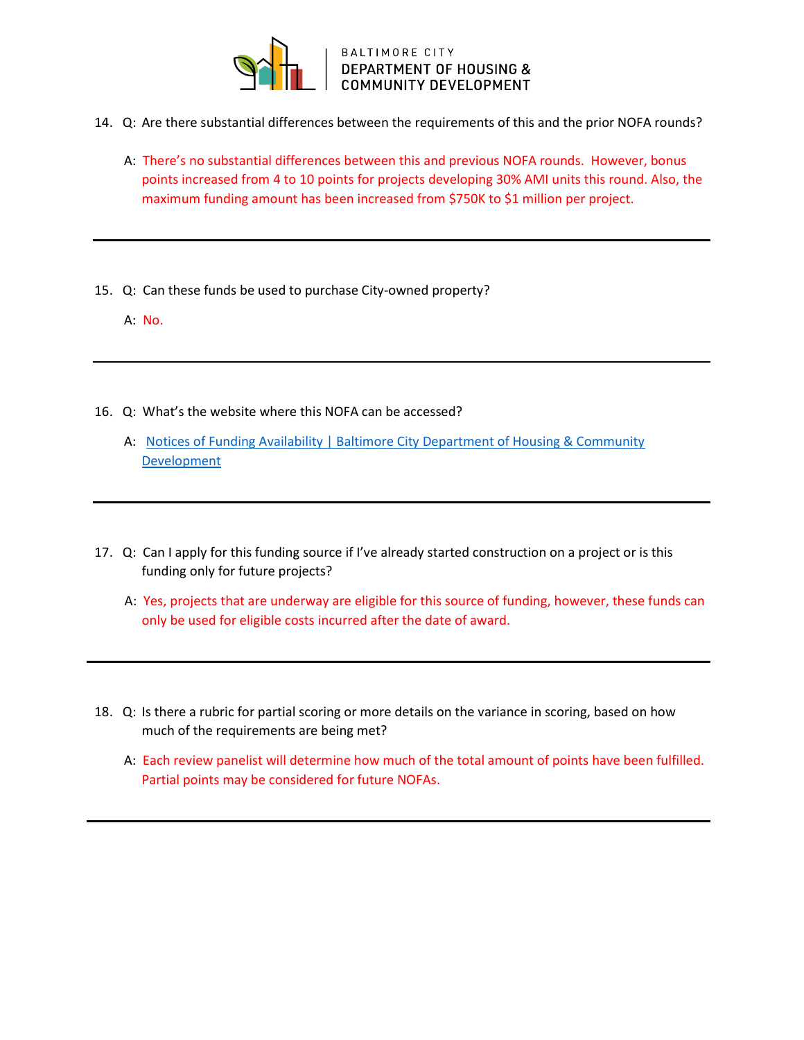

## BALTIMORE CITY<br>DEPARTMENT OF HOUSING & **COMMUNITY DEVELOPMENT**

- 14. Q: Are there substantial differences between the requirements of this and the prior NOFA rounds?
	- A: There's no substantial differences between this and previous NOFA rounds. However, bonus points increased from 4 to 10 points for projects developing 30% AMI units this round. Also, the maximum funding amount has been increased from \$750K to \$1 million per project.
- 15. Q: Can these funds be used to purchase City-owned property?
	- A: No.
- 16. Q: What's the website where this NOFA can be accessed?
	- A: Notices of Funding Availability | Baltimore City Department of Housing & Community Development
- 17. Q: Can I apply for this funding source if I've already started construction on a project or is this funding only for future projects?
	- A: Yes, projects that are underway are eligible for this source of funding, however, these funds can only be used for eligible costs incurred after the date of award.
- 18. Q: Is there a rubric for partial scoring or more details on the variance in scoring, based on how much of the requirements are being met?
	- A: Each review panelist will determine how much of the total amount of points have been fulfilled. Partial points may be considered for future NOFAs.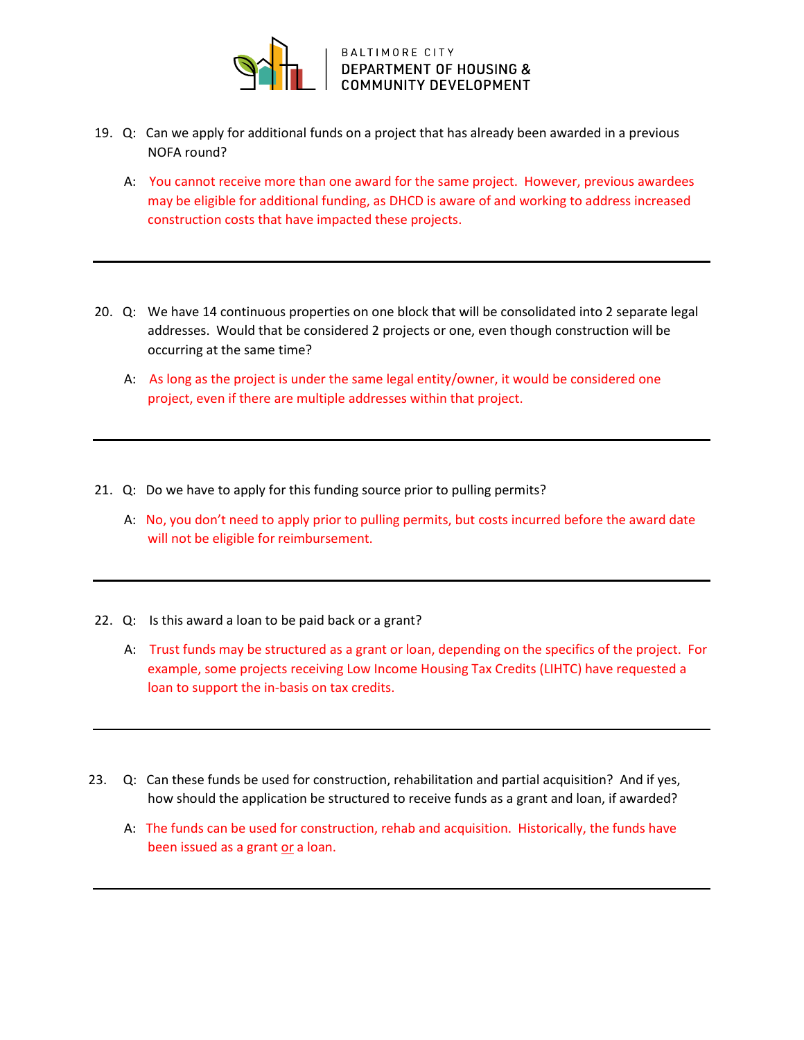

- 19. Q: Can we apply for additional funds on a project that has already been awarded in a previous NOFA round?
	- A: You cannot receive more than one award for the same project. However, previous awardees may be eligible for additional funding, as DHCD is aware of and working to address increased construction costs that have impacted these projects.
- 20. Q: We have 14 continuous properties on one block that will be consolidated into 2 separate legal addresses. Would that be considered 2 projects or one, even though construction will be occurring at the same time?
	- A: As long as the project is under the same legal entity/owner, it would be considered one project, even if there are multiple addresses within that project.
- 21. Q: Do we have to apply for this funding source prior to pulling permits?
	- A: No, you don't need to apply prior to pulling permits, but costs incurred before the award date will not be eligible for reimbursement.
- 22. Q: Is this award a loan to be paid back or a grant?
	- A: Trust funds may be structured as a grant or loan, depending on the specifics of the project. For example, some projects receiving Low Income Housing Tax Credits (LIHTC) have requested a loan to support the in-basis on tax credits.
- 23. Q: Can these funds be used for construction, rehabilitation and partial acquisition? And if yes, how should the application be structured to receive funds as a grant and loan, if awarded?
	- A: The funds can be used for construction, rehab and acquisition. Historically, the funds have been issued as a grant or a loan.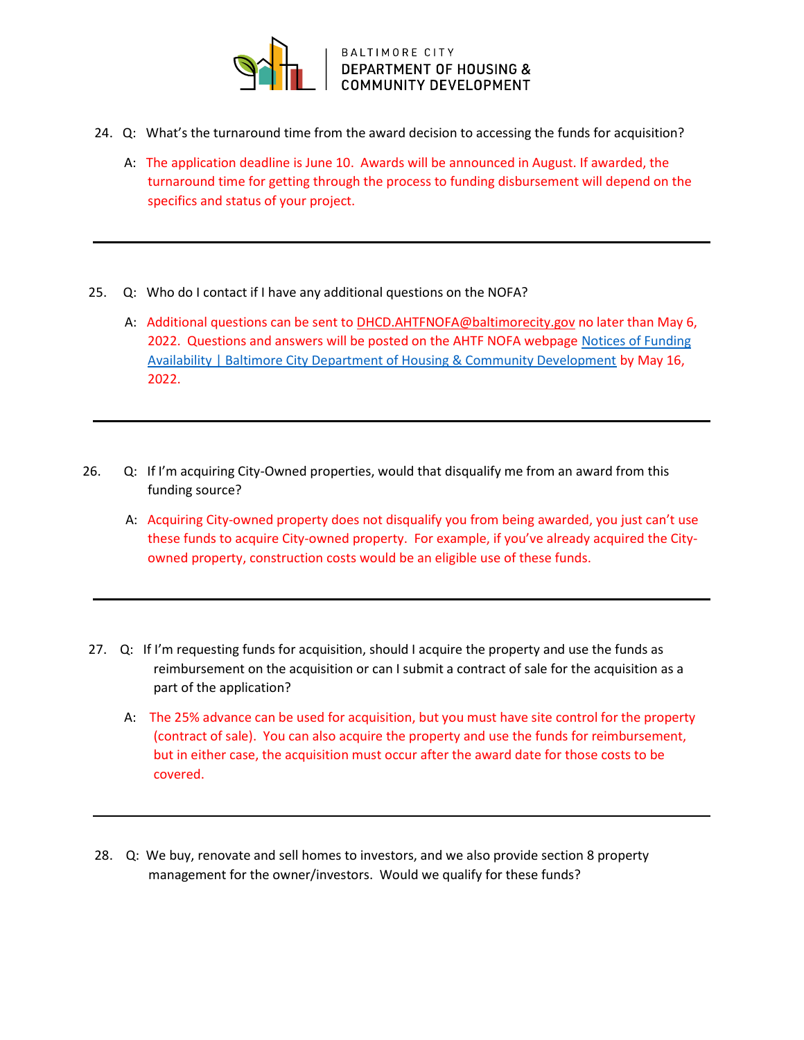

BALTIMORE CITY<br>DEPARTMENT OF HOUSING & **COMMUNITY DEVELOPMENT** 

- 24. Q: What's the turnaround time from the award decision to accessing the funds for acquisition?
	- A: The application deadline is June 10. Awards will be announced in August. If awarded, the turnaround time for getting through the process to funding disbursement will depend on the specifics and status of your project.
- 25. Q: Who do I contact if I have any additional questions on the NOFA?
	- A: Additional questions can be sent to **DHCD.AHTFNOFA@baltimorecity.gov** no later than May 6, 2022. Questions and answers will be posted on the AHTF NOFA webpage Notices of Funding Availability | Baltimore City Department of Housing & Community Development by May 16, 2022.
- 26. Q: If I'm acquiring City-Owned properties, would that disqualify me from an award from this funding source?
	- A: Acquiring City-owned property does not disqualify you from being awarded, you just can't use these funds to acquire City-owned property. For example, if you've already acquired the Cityowned property, construction costs would be an eligible use of these funds.
- 27. Q: If I'm requesting funds for acquisition, should I acquire the property and use the funds as reimbursement on the acquisition or can I submit a contract of sale for the acquisition as a part of the application?
	- A: The 25% advance can be used for acquisition, but you must have site control for the property (contract of sale). You can also acquire the property and use the funds for reimbursement, but in either case, the acquisition must occur after the award date for those costs to be covered.
- 28. Q: We buy, renovate and sell homes to investors, and we also provide section 8 property management for the owner/investors. Would we qualify for these funds?